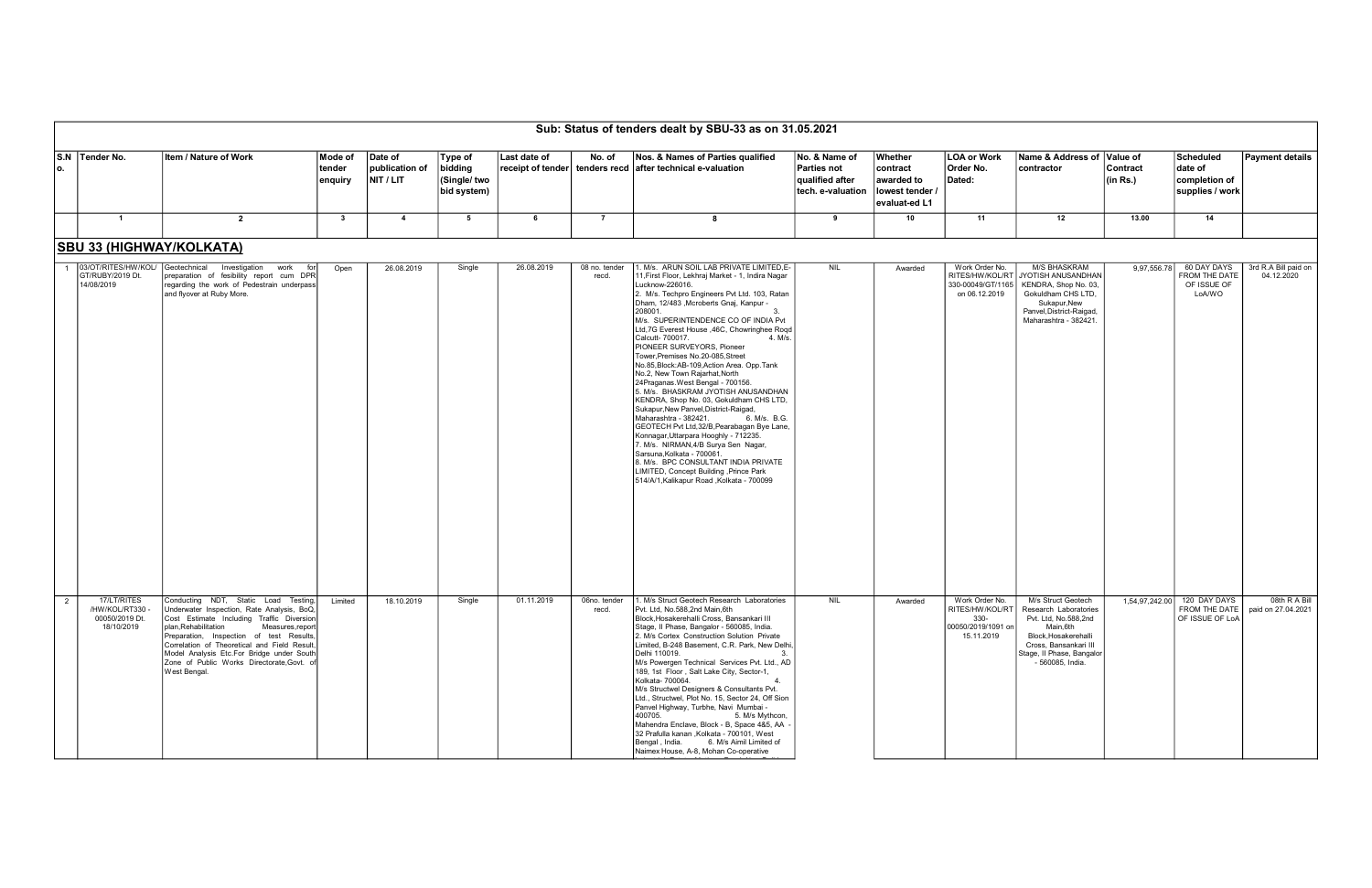| Sub: Status of tenders dealt by SBU-33 as on 31.05.2021 |                                                                |                                                                                                                                                                                                                                                                                                                                                                                 |                              |                                        |                                                   |                                   |                        |                                                                                                                                                                                                                                                                                                                                                                                                                                                                                                                                                                                                                                                                                                                                                                                                                                                                                                                                                                                                       |                                                                      |                                                                       |                                                                                 |                                                                                                                                                                                   |                      |                                                          |                                     |
|---------------------------------------------------------|----------------------------------------------------------------|---------------------------------------------------------------------------------------------------------------------------------------------------------------------------------------------------------------------------------------------------------------------------------------------------------------------------------------------------------------------------------|------------------------------|----------------------------------------|---------------------------------------------------|-----------------------------------|------------------------|-------------------------------------------------------------------------------------------------------------------------------------------------------------------------------------------------------------------------------------------------------------------------------------------------------------------------------------------------------------------------------------------------------------------------------------------------------------------------------------------------------------------------------------------------------------------------------------------------------------------------------------------------------------------------------------------------------------------------------------------------------------------------------------------------------------------------------------------------------------------------------------------------------------------------------------------------------------------------------------------------------|----------------------------------------------------------------------|-----------------------------------------------------------------------|---------------------------------------------------------------------------------|-----------------------------------------------------------------------------------------------------------------------------------------------------------------------------------|----------------------|----------------------------------------------------------|-------------------------------------|
| o.                                                      | S.N Tender No.                                                 | Item / Nature of Work                                                                                                                                                                                                                                                                                                                                                           | Mode of<br>tender<br>enauirv | Date of<br>publication of<br>NIT / LIT | Type of<br>biddina<br>(Single/ two<br>bid system) | Last date of<br>receipt of tender | No. of                 | Nos. & Names of Parties qualified<br>tenders recd after technical e-valuation                                                                                                                                                                                                                                                                                                                                                                                                                                                                                                                                                                                                                                                                                                                                                                                                                                                                                                                         | No. & Name of<br>Parties not<br>qualified after<br>tech, e-valuation | Whether<br>contract<br>awarded to<br>lowest tender /<br>evaluat-ed L1 | <b>LOA or Work</b><br>Order No.<br>Dated:                                       | Name & Address of Value of<br>contractor                                                                                                                                          | Contract<br>(in Rs.) | Scheduled<br>date of<br>completion of<br>supplies / work | <b>Payment details</b>              |
|                                                         | $\mathbf{1}$                                                   | $\overline{2}$                                                                                                                                                                                                                                                                                                                                                                  | $\overline{\mathbf{3}}$      | $\overline{4}$                         | 5                                                 | $\epsilon$                        | $\overline{7}$         | 8                                                                                                                                                                                                                                                                                                                                                                                                                                                                                                                                                                                                                                                                                                                                                                                                                                                                                                                                                                                                     | $\overline{9}$                                                       | 10                                                                    | 11                                                                              | 12                                                                                                                                                                                | 13.00                | 14                                                       |                                     |
| SBU 33 (HIGHWAY/KOLKATA)                                |                                                                |                                                                                                                                                                                                                                                                                                                                                                                 |                              |                                        |                                                   |                                   |                        |                                                                                                                                                                                                                                                                                                                                                                                                                                                                                                                                                                                                                                                                                                                                                                                                                                                                                                                                                                                                       |                                                                      |                                                                       |                                                                                 |                                                                                                                                                                                   |                      |                                                          |                                     |
|                                                         | GT/RUBY/2019 Dt.<br>14/08/2019                                 | 03/OT/RITES/HW/KOL/ Geotechnical Investigation<br>work<br>for<br>preparation of fesibility report cum DPR<br>regarding the work of Pedestrain underpass<br>and flyover at Ruby More.                                                                                                                                                                                            | Open                         | 26.08.2019                             | Single                                            | 26.08.2019                        | 08 no. tender<br>recd. | . M/s. ARUN SOIL LAB PRIVATE LIMITED.E-<br>11, First Floor, Lekhraj Market - 1, Indira Nagar<br>Lucknow-226016.<br>2. M/s. Techpro Engineers Pvt Ltd. 103, Ratan<br>Dham, 12/483 , Mcroberts Gnaj, Kanpur -<br>208001.<br>3.<br>M/s. SUPERINTENDENCE CO OF INDIA Pvt<br>Ltd,7G Everest House ,46C, Chowringhee Roqd<br>Calcutt- 700017<br>$4$ M/s<br>PIONEER SURVEYORS, Ploneer<br>Tower.Premises No.20-085.Street<br>No.85, Block: AB-109, Action Area. Opp. Tank<br>No.2, New Town Rajarhat, North<br>24Praganas. West Bengal - 700156.<br>5. M/s. BHASKRAM JYOTISH ANUSANDHAN<br>KENDRA, Shop No. 03. Gokuldham CHS LTD.<br>Sukapur.New Panyel.District-Raigad.<br>Maharashtra - 382421.<br>6. M/s. B.G.<br>GEOTECH Pvt Ltd, 32/B, Pearabagan Bye Lane,<br>Konnagar, Uttarpara Hooghly - 712235.<br>7. M/s. NIRMAN, 4/B Surya Sen Nagar,<br>Sarsuna.Kolkata - 700061<br>8. M/s. BPC CONSULTANT INDIA PRIVATE<br>LIMITED, Concept Building ,Prince Park<br>514/A/1.Kalikapur Road .Kolkata - 700099 | <b>NIL</b>                                                           | Awarded                                                               | Work Order No.<br>RITES/HW/KOL/RT<br>330-00049/GT/1165<br>on 06.12.2019         | <b>M/S BHASKRAM</b><br>JYOTISH ANUSANDHAN<br>KENDRA, Shop No. 03,<br>Gokuldham CHS LTD.<br>Sukapur.New<br>Panvel, District-Raigad,<br>Maharashtra - 382421.                       | 9.97.556.78          | 60 DAY DAYS<br>FROM THE DATE<br>OF ISSUE OF<br>LoA/WO    | 3rd R.A Bill paid on<br>04.12.2020  |
| $\overline{2}$                                          | 17/LT/RITES<br>/HW/KOL/RT330 -<br>00050/2019 Dt.<br>18/10/2019 | Conducting NDT, Static Load Testing,<br>Underwater Inspection, Rate Analysis, BoQ,<br>Cost Estimate Including Traffic Diversion<br>plan.Rehabilitation<br>Measures, report<br>Preparation, Inspection of test Results,<br>Correlation of Theoretical and Field Result<br>Model Analysis Etc.For Bridge under South<br>Zone of Public Works Directorate.Govt. of<br>West Bengal. | Limited                      | 18.10.2019                             | Single                                            | 01.11.2019                        | 06no. tender<br>recd.  | . M/s Struct Geotech Research Laboratories<br>Pvt. Ltd. No.588.2nd Main.6th<br>Block, Hosakerehalli Cross, Bansankari III<br>Stage, Il Phase, Bangalor - 560085, India.<br>2. M/s Cortex Construction Solution Private<br>Limited, B-248 Basement, C.R. Park, New Delhi,<br>Delhi 110019.<br>M/s Powergen Technical Services Pvt. Ltd., AD<br>189, 1st Floor, Salt Lake City, Sector-1,<br>Kolkata- 700064.<br>4.<br>M/s Structwel Designers & Consultants Pvt.<br>Ltd., Structwel, Plot No. 15, Sector 24, Off Sion<br>Panvel Highway, Turbhe, Navi Mumbai -<br>400705.<br>5. M/s Mythcon.<br>Mahendra Enclave, Block - B. Space 4&5, AA<br>32 Prafulla kanan , Kolkata - 700101, West<br>6. M/s Aimil Limited of<br>Bengal . India.<br>Naimex House, A-8, Mohan Co-operative                                                                                                                                                                                                                        | <b>NIL</b>                                                           | Awarded                                                               | Work Order No.<br>RITES/HW/KOL/RT<br>$330-$<br>00050/2019/1091 on<br>15.11.2019 | M/s Struct Geotech<br>Research Laboratories<br>Pvt. Ltd, No.588,2nd<br>Main.6th<br>Block, Hosakerehalli<br>Cross, Bansankari III<br>Stage, Il Phase, Bangalor<br>- 560085, India. | 1.54.97.242.00       | 120 DAY DAYS<br>FROM THE DATE<br>OF ISSUE OF LoA         | 08th R A Bill<br>paid on 27.04.2021 |